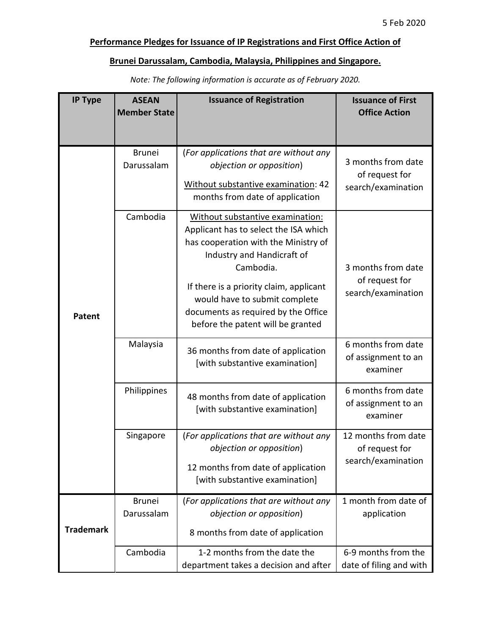## Performance Pledges for Issuance of IP Registrations and First Office Action of

## Brunei Darussalam, Cambodia, Malaysia, Philippines and Singapore.

| <b>IP Type</b>   | <b>ASEAN</b><br><b>Member State</b> | <b>Issuance of Registration</b>                                                                                                                                                                                                                                                                                      | <b>Issuance of First</b><br><b>Office Action</b>            |
|------------------|-------------------------------------|----------------------------------------------------------------------------------------------------------------------------------------------------------------------------------------------------------------------------------------------------------------------------------------------------------------------|-------------------------------------------------------------|
|                  |                                     |                                                                                                                                                                                                                                                                                                                      |                                                             |
| Patent           | <b>Brunei</b><br>Darussalam         | (For applications that are without any<br>objection or opposition)<br>Without substantive examination: 42<br>months from date of application                                                                                                                                                                         | 3 months from date<br>of request for<br>search/examination  |
|                  | Cambodia                            | Without substantive examination:<br>Applicant has to select the ISA which<br>has cooperation with the Ministry of<br>Industry and Handicraft of<br>Cambodia.<br>If there is a priority claim, applicant<br>would have to submit complete<br>documents as required by the Office<br>before the patent will be granted | 3 months from date<br>of request for<br>search/examination  |
|                  | Malaysia                            | 36 months from date of application<br>[with substantive examination]                                                                                                                                                                                                                                                 | 6 months from date<br>of assignment to an<br>examiner       |
|                  | Philippines                         | 48 months from date of application<br>[with substantive examination]                                                                                                                                                                                                                                                 | 6 months from date<br>of assignment to an<br>examiner       |
|                  | Singapore                           | (For applications that are without any<br>objection or opposition)<br>12 months from date of application<br>[with substantive examination]                                                                                                                                                                           | 12 months from date<br>of reauest for<br>search/examination |
| <b>Trademark</b> | <b>Brunei</b><br>Darussalam         | (For applications that are without any<br>objection or opposition)<br>8 months from date of application                                                                                                                                                                                                              | 1 month from date of<br>application                         |
|                  | Cambodia                            | 1-2 months from the date the<br>department takes a decision and after                                                                                                                                                                                                                                                | 6-9 months from the<br>date of filing and with              |

Note: The following information is accurate as of February 2020.